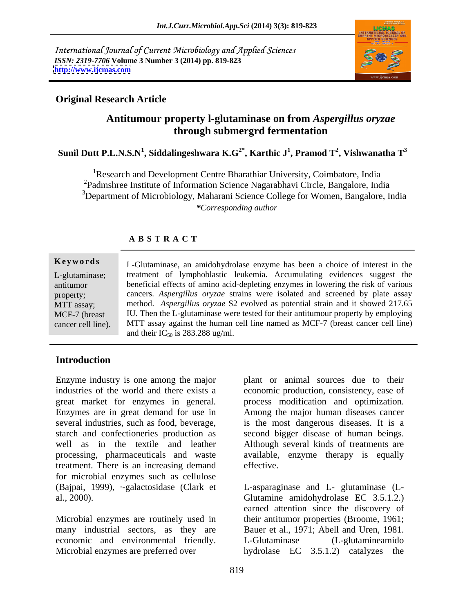International Journal of Current Microbiology and Applied Sciences *ISSN: 2319-7706* **Volume 3 Number 3 (2014) pp. 819-823 <http://www.ijcmas.com>**



#### **Original Research Article**

#### **Antitumour property l-glutaminase on from** *Aspergillus oryzae* **through submergrd fermentation**

**Sunil Dutt P.L.N.S.N<sup>1</sup> , Siddalingeshwara K.G2\* , Karthic J1 , Pramod T<sup>2</sup> , Vishwanatha T<sup>3</sup>**

<sup>1</sup>Research and Development Centre Bharathiar University, Coimbatore, India 2Padmshree Institute of Information Science Nagarabhavi Circle, Bangalore, India <sup>3</sup>Department of Microbiology, Maharani Science College for Women, Bangalore, India *\*Corresponding author*

#### **A B S T R A C T**

#### **Keywords** L-Glutaminase, an amidohydrolase enzyme has been a choice of interest in the L-glutaminase; treatment of lymphoblastic leukemia. Accumulating evidences suggest the antitumor beneficial effects of amino acid-depleting enzymes in lowering therisk of various property; cancers. *Aspergillus oryzae* strains were isolated and screened by plate assay MTT assay; method. *Aspergillus oryzae* S2 evolved as potential strain and it showed 217.65 MCF-7 (breast IU. Then the L-glutaminase were tested for their antitumour property by employing E-glutaminase, an amidohydrolase enzyme has been a choice of interest in the<br>
L-glutaminase;<br>
L-Glutaminase, the treatment of lymphoblastic leukemia. Accumulating evidences suggest the<br>
beneficial effects of amino acid-dep MTT assay against the human cell line named as MCF-7 (breast cancer cell line) and their  $IC_{50}$  is 283.288 ug/ml.

#### **Introduction**

Enzyme industry is one among the major plant or animal sources due to their industries of the world and there exists a economic production, consistency, ease of great market for enzymes in general. process modification and optimization. Enzymes are in great demand for use in several industries, such as food, beverage, is the most dangerous diseases. It is a starch and confectioneries production as second bigger disease of human beings. well as in the textile and leather Although several kinds of treatments are processing, pharmaceuticals and waste treatment. There is an increasing demand for microbial enzymes such as cellulose<br>(Bajpai, 1999), --galactosidase (Clark et (Bajpai, 1999), ·-galactosidase (Clark et L-asparaginase and L- glutaminase (L al., 2000). Glutamine amidohydrolase EC 3.5.1.2.)

economic and environmental friendly. L-Glutaminase (L-glutamineamido Microbial enzymes are preferred over hydrolase EC 3.5.1.2) catalyzes the

Among the major human diseases cancer available, enzyme therapy is equally effective.

Microbial enzymes are routinely used in their antitumor properties (Broome, 1961; many industrial sectors, as they are Bauer et al., 1971; Abell and Uren, 1981. earned attention since the discovery of L-Glutaminase (L-glutamineamido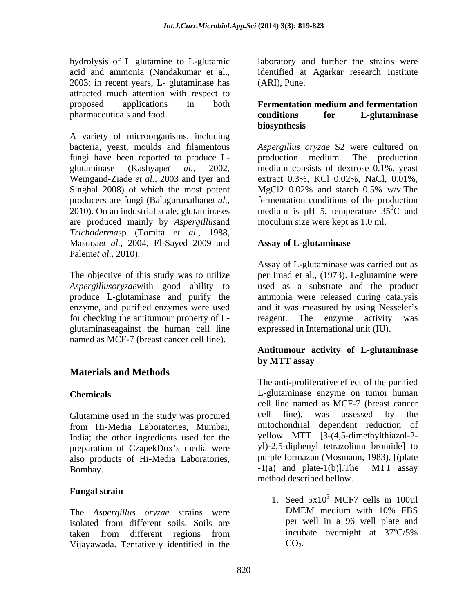hydrolysis of L glutamine to L-glutamic laboratory and further the strains were acid and ammonia (Nandakumar et al., identified at Agarkar research Institute 2003; in recent years, L- glutaminase has attracted much attention with respect to proposed applications in both **Fermentation medium and fermentation**  pharmaceuticals and food. **Conditions conditions for L-glutaminase** 

A variety of microorganisms, including bacteria, yeast, moulds and filamentous *Aspergillus oryzae* S2 were cultured on fungi have been reported to produce L glutaminase (Kashyap*et al.,* 2002, medium consists of dextrose 0.1%, yeast Weingand-Ziade *et al.,* 2003 and Iyer and Singhal 2008) of which the most potent MgCl  $20.02\%$  and starch 0.5% w/v. The producers are fungi (Balagurunathan*et al.,* fermentation conditions of the production 2010). On an industrial scale, glutaminases medium is pH 5, temperature  $35^{\circ}$ C and are produced mainly by *Aspergillus*and *Trichoderma*sp (Tomita *et al.,* 1988, Masuoa*et al.,* 2004, El-Sayed 2009 and Palem*et al.,* 2010).

for checking the antitumour property of L- reagent. The enzyme activity was glutaminaseagainst the human cell line named as MCF-7 (breast cancer cell line).

## **Materials and Methods**

from Hi-Media Laboratories, Mumbai, India; the other ingredients used for the preparation of CzapekDox's media were yl-2,5-diphenyl tetrazolium bromide] to<br>also products of Hi-Media Laboratories. purple formazan (Mosmann, 1983), [(plate also products of Hi-Media Laboratories, purple formazan (Mosmann, 1983), [(plate Rombay<br>Rombay and plate-1(b)]. The MTT assay Bombay.  $-1(a)$  and plate-1(b)]. The

#### **Fungal strain**

isolated from different soils. Soils are taken from different regions from incubate overnight at 37°C/5% Vijayawada. Tentatively identified in the

(ARI), Pune.

# **conditions for L-glutaminase biosynthesis**

production medium. The production extract 0.3%, KCl 0.02%, NaCl, 0.01%, MgCl2 0.02% and starch 0.5% w/v.The  ${}^{0}C$  and inoculum size were kept as 1.0 ml.

#### **Assay of L-glutaminase**

The objective of this study was to utilize per Imad et al., (1973). L-glutamine were Aspergillusoryzaewith good ability to used as a substrate and the product produce L-glutaminase and purify the ammonia were released during catalysis enzyme, and purified enzymes were used and it was measured by using Nesseler's Assay of L-glutaminase was carried out as reagent. The enzyme activity expressed in International unit (IU).

#### **Antitumour activity of L-glutaminase by MTT assay**

**Chemicals**  L-glutaminase enzyme on tumor human Glutamine used in the study was procured cell line), was assessed by the The anti-proliferative effect of the purified cell line named as MCF-7 (breast cancer cell line), was assessed by the mitochondrial dependent reduction of yellow MTT [3-(4,5-dimethylthiazol-2yl)-2,5-diphenyl tetrazolium bromide] to purple formazan (Mosmann, 1983), [(plate -1(a) and plate-1(b)].The MTT assay method described bellow.

The *Aspergillus oryzae* strains were 1. Seed  $5x10^3$  MCF7 cells in 100ul  $3$  MCF7 cells in 100 $\mu$ 1 DMEM medium with 10% FBS per well in a 96 well plate and incubate overnight at 37°C/5%  $CO<sub>2</sub>$ .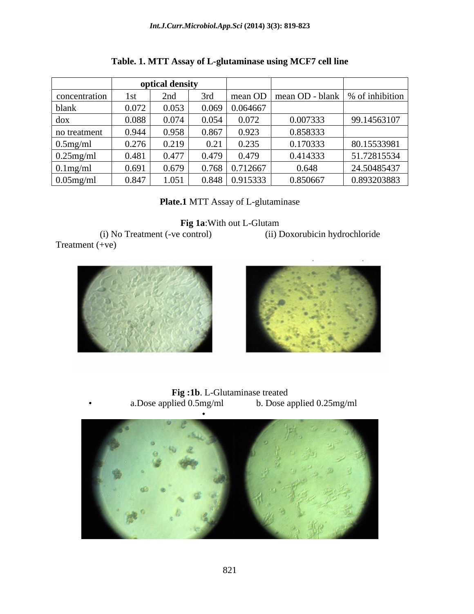| optical density |       |       |       |                       |          |                                             |
|-----------------|-------|-------|-------|-----------------------|----------|---------------------------------------------|
| concentration   | 1st   | 2nd   |       |                       |          | mean OD   mean OD - blank   % of inhibition |
| blank           | 0.072 | 0.053 | 0.069 | 0.064667              |          |                                             |
| dox             | 0.088 | 0.074 | 0.054 | 0.072                 | 0.007333 | 99.14563107                                 |
| no treatment    | 0.944 | 0.958 | 0.867 | 0.923                 | 0.858333 |                                             |
| $0.5$ mg/ml     | 0.276 | 0.219 | 0.21  | 0.235                 | 0.170333 | 80.15533981                                 |
| $0.25$ mg/ml    | 0.481 | 0.477 | 0.479 | 0.479                 | 0.414333 | 51.72815534                                 |
| $0.1$ mg/ml     | 0.691 | 0.679 |       | $0.768$ 0.712667      | 0.648    | 24.50485437                                 |
| $0.05$ mg/ml    | 0.847 | 1.051 |       | $0.848 \mid 0.915333$ | 0.850667 | 0.893203883                                 |

| Table. 1. MTT Assay of L-glutaminase using MCF7 cell line |  |
|-----------------------------------------------------------|--|
|-----------------------------------------------------------|--|

**Plate.1** MTT Assay of L-glutaminase

**Fig 1a**:With out L-Glutam

 (i) No Treatment (-ve control) (ii) Doxorubicin hydrochloride Treatment (+ve)





**Fig :1b**. L-Glutaminase treated<br>a.Dose applied 0.5mg/ml b. Dose a a.Dose applied 0.5mg/ml b. Dose applied 0.25mg/ml

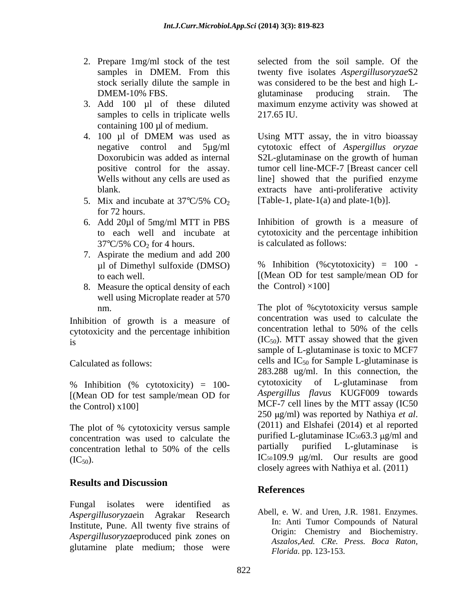- 
- samples to cells in triplicate wells 217.65 IU. containing 100 µl of medium.
- 
- for 72 hours.
- $37^{\circ}C/5\%$  CO<sub>2</sub> for 4 hours.
- 7. Aspirate the medium and add 200
- 8. Measure the optical density of each well using Microplate reader at 570

Inhibition of growth is a measure of concentration was used to calculate the<br>contraction of concentration lethal to 50% of the cells cytotoxicity and the percentage inhibition

[(Mean OD for test sample/mean OD for

concentration was used to calculate the purified L-glutaminase  $IC_{50}$   $63.3 \mu g/ml$  and concentration lethal to  $50\%$  of the cells partially purified L-glutaminase is

#### **Results and Discussion**

Fungal isolates were identified as *Aspergillusoryzae*in Agrakar Research Institute, Pune. All twenty five strains of *Aspergillusoryzae*produced pink zones on glutamine plate medium; those were

2. Prepare 1mg/ml stock of the test selected from the soil sample. Of the samples in DMEM. From this twenty five isolates *Aspergillusoryzae*S2 stock serially dilute the sample in was considered to be the best and high L- DMEM-10% FBS. The substitution of the settlement of the settlement of the settlement of the settlement of the settlement of the settlement of the settlement of the settlement of the settlement of the settlement of the sett 3. Add 100 µl of these diluted maximum enzyme activity was showed at glutaminase producing strain. The 217.65 IU.

4. 100 µl of DMEM was used as Using MTT assay, the in vitro bioassay negative control and 5µg/ml cytotoxic effect of *Aspergillus oryzae* Doxorubicin was added as internal S2L-glutaminase on the growth of human positive control for the assay. tumor cell line-MCF-7 [Breast cancer cell Wells without any cells are used as line] showed that the purified enzyme blank. extracts have anti-proliferative activity 5. Mix and incubate at  $37^{\circ}C/5\%$  CO<sub>2</sub> [Table-1, plate-1(a) and plate-1(b)]. Using MTT assay, the in vitro bioassay [Table-1, plate-1(a) and plate-1(b)].

6. Add 20µl of 5mg/ml MTT in PBS Inhibition of growth is a measure of to each well and incubate at cytotoxicity and the percentage inhibition is calculated as follows:

µl of Dimethyl sulfoxide (DMSO) % Inhibition (%cytotoxicity) = 100 to each well. [(Mean OD for test sample/mean OD for the Control)  $\times$ 100]

nm. The plot of %cytotoxicity versus sample is  $(IC_{50})$ . MTT assay showed that the given Calculated as follows:  $\text{cells}$  and  $\text{IC}_{50}$  for Sample L-glutaminase is % Inhibition (% cytotoxicity) = 100- cytotoxicity of L-glutaminase from the Control) x100] MCF-7 cell lines by the MTT assay (IC50 The plot of % cytotoxicity versus sample (2011) and Elshafei (2014) et al reported concentration lethal to 50% of the cells **partially** purified L-glutaminase is  $\text{IC}_{50}$ ). IC<sub>50</sub>109.9  $\mu$ g/ml. Our results are good concentration was used to calculate the concentration lethal to 50% of the cells sample of L-glutaminase is toxic to MCF7 283.288 ug/ml. In this connection, the cytotoxicity of L-glutaminase from *Aspergillus flavus* KUGF009 towards <sup>250</sup> g/ml) was reported by Nathiya *et al*. (2011) and Elshafei (2014) et al reported purified L-glutaminase  $IC_{50}63.3 \text{ µg/ml}$  and partially purified L-glutaminase is closely agrees with Nathiya et al. (2011)

## **References**

Abell, e. W. and Uren, J.R. 1981. Enzymes. In: Anti Tumor Compounds of Natural Origin: Chemistry and Biochemistry. *Aszalos,Aed. CRe. Press. Boca Raton, Florida*. pp. 123-153.